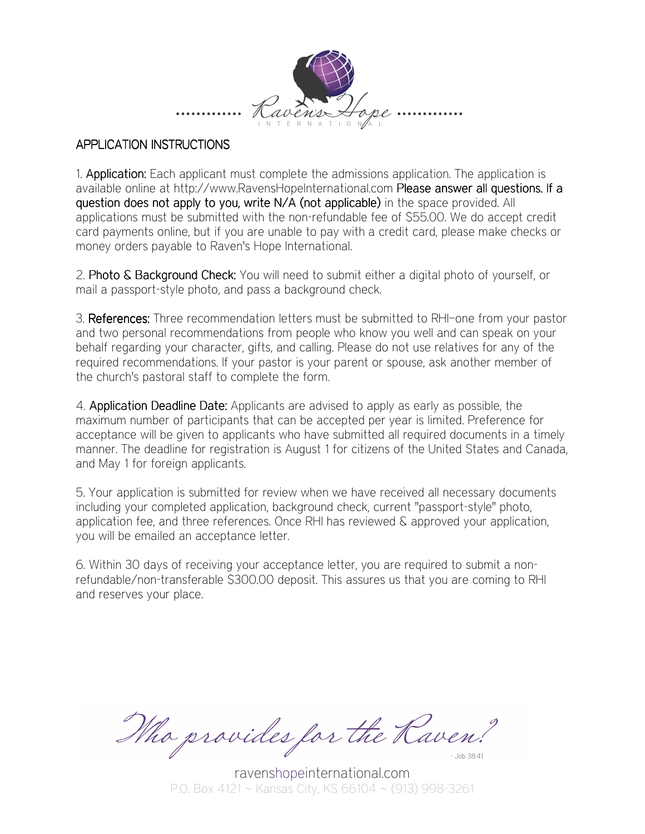

## APPLICATION INSTRUCTIONS

1. Application: Each applicant must complete the admissions application. The application is available online at http://www.RavensHopeInternational.com Please answer all questions. If a question does not apply to you, write N/A (not applicable) in the space provided. All applications must be submitted with the non-refundable fee of \$55.00. We do accept credit card payments online, but if you are unable to pay with a credit card, please make checks or money orders payable to Raven's Hope International.

2. Photo & Background Check: You will need to submit either a digital photo of yourself, or mail a passport-style photo, and pass a background check.

3. References: Three recommendation letters must be submitted to RHI-one from your pastor and two personal recommendations from people who know you well and can speak on your behalf regarding your character, gifts, and calling. Please do not use relatives for any of the required recommendations. If your pastor is your parent or spouse, ask another member of the church's pastoral staff to complete the form.

4. Application Deadline Date: Applicants are advised to apply as early as possible, the maximum number of participants that can be accepted per year is limited. Preference for acceptance will be given to applicants who have submitted all required documents in a timely manner. The deadline for registration is August 1 for citizens of the United States and Canada, and May 1 for foreign applicants.

5. Your application is submitted for review when we have received all necessary documents including your completed application, background check, current "passport-style" photo, application fee, and three references. Once RHI has reviewed & approved your application, you will be emailed an acceptance letter.

6. Within 30 days of receiving your acceptance letter, you are required to submit a nonrefundable/non-transferable \$300.00 deposit. This assures us that you are coming to RHI and reserves your place.

Tho provides for the Raven!  $-$  Job 38:41

ravenshopeinternational.com P.O. Box 4121 ~ Kansas City, KS 66104 ~ (913) 998-3261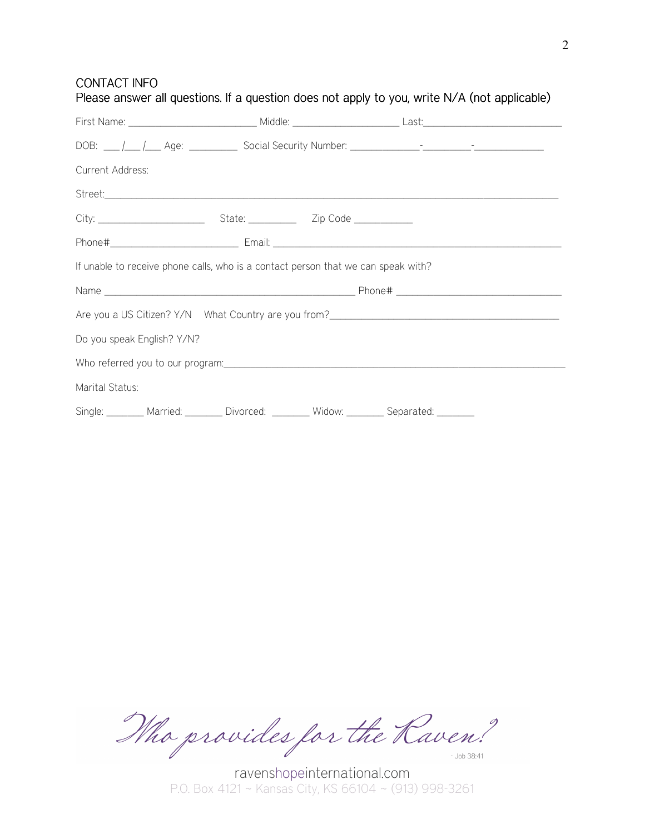## CONTACT INFO

| Current Address:                                                                  |                                                                                             |  |  |
|-----------------------------------------------------------------------------------|---------------------------------------------------------------------------------------------|--|--|
|                                                                                   |                                                                                             |  |  |
|                                                                                   |                                                                                             |  |  |
|                                                                                   |                                                                                             |  |  |
| If unable to receive phone calls, who is a contact person that we can speak with? |                                                                                             |  |  |
|                                                                                   |                                                                                             |  |  |
|                                                                                   |                                                                                             |  |  |
| Do you speak English? Y/N?                                                        |                                                                                             |  |  |
|                                                                                   |                                                                                             |  |  |
| Marital Status:                                                                   |                                                                                             |  |  |
|                                                                                   | Single: Married: Divorced: Widow: Single: Separated: Midow: Widow: Widow: Webser Separated: |  |  |

Please answer all questions. If a question does not apply to you, write N/A (not applicable)

Who provides for the Raven?

ravenshopeinternational.com P.O. Box 4121 ~ Kansas City, KS 66104 ~ (913) 998-3261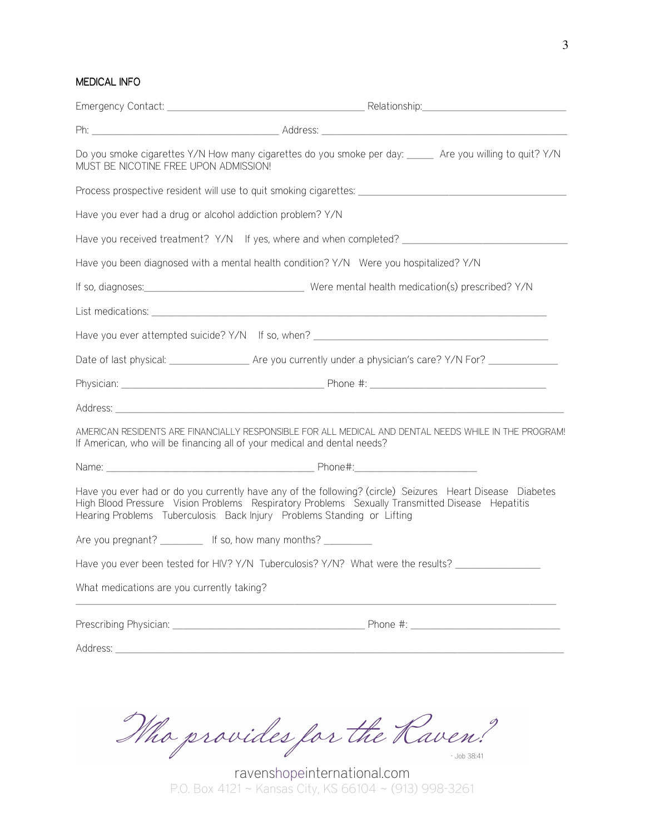## MEDICAL INFO

| MUST BE NICOTINE FREE UPON ADMISSION!                      | Do you smoke cigarettes Y/N How many cigarettes do you smoke per day: ______ Are you willing to quit? Y/N                                                                                                                                                                              |
|------------------------------------------------------------|----------------------------------------------------------------------------------------------------------------------------------------------------------------------------------------------------------------------------------------------------------------------------------------|
|                                                            |                                                                                                                                                                                                                                                                                        |
| Have you ever had a drug or alcohol addiction problem? Y/N |                                                                                                                                                                                                                                                                                        |
|                                                            | Have you received treatment? Y/N If yes, where and when completed? _________________________________                                                                                                                                                                                   |
|                                                            | Have you been diagnosed with a mental health condition? Y/N Were you hospitalized? Y/N                                                                                                                                                                                                 |
|                                                            |                                                                                                                                                                                                                                                                                        |
|                                                            |                                                                                                                                                                                                                                                                                        |
|                                                            |                                                                                                                                                                                                                                                                                        |
|                                                            |                                                                                                                                                                                                                                                                                        |
|                                                            |                                                                                                                                                                                                                                                                                        |
|                                                            | Address: <u>The Community of the Community of the Community of the Community of the Community of the Community of the Community of the Community of the Community of the Community of the Community of the Community of the Comm</u>                                                   |
|                                                            | AMERICAN RESIDENTS ARE FINANCIALLY RESPONSIBLE FOR ALL MEDICAL AND DENTAL NEEDS WHILE IN THE PROGRAM!<br>If American, who will be financing all of your medical and dental needs?                                                                                                      |
|                                                            |                                                                                                                                                                                                                                                                                        |
|                                                            | Have you ever had or do you currently have any of the following? (circle) Seizures Heart Disease Diabetes<br>High Blood Pressure Vision Problems Respiratory Problems Sexually Transmitted Disease Hepatitis<br>Hearing Problems Tuberculosis Back Injury Problems Standing or Lifting |
|                                                            | Are you pregnant? ____________ If so, how many months? __________                                                                                                                                                                                                                      |
|                                                            | Have you ever been tested for HIV? Y/N Tuberculosis? Y/N? What were the results?                                                                                                                                                                                                       |
| What medications are you currently taking?                 |                                                                                                                                                                                                                                                                                        |
|                                                            |                                                                                                                                                                                                                                                                                        |
| Address: _________                                         |                                                                                                                                                                                                                                                                                        |

Who provides for the Raven?  $-$  Job 38:41

ravenshopeinternational.com P.O. Box 4121 ~ Kansas City, KS 66104 ~ (913) 998-3261